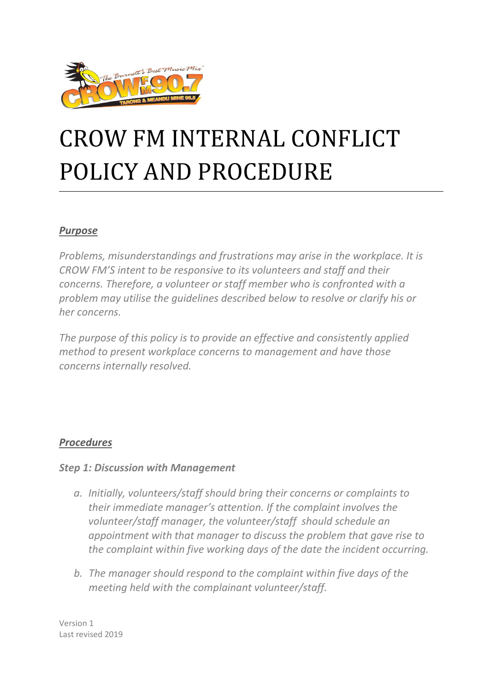

# CROW FM INTERNAL CONFLICT POLICY AND PROCEDURE

#### *Purpose*

*Problems, misunderstandings and frustrations may arise in the workplace. It is CROW FM'S intent to be responsive to its volunteers and staff and their concerns. Therefore, a volunteer or staff member who is confronted with a problem may utilise the guidelines described below to resolve or clarify his or her concerns.*

*The purpose of this policy is to provide an effective and consistently applied method to present workplace concerns to management and have those concerns internally resolved.*

#### *Procedures*

#### *Step 1: Discussion with Management*

- *a. Initially, volunteers/staff should bring their concerns or complaints to their immediate manager's attention. If the complaint involves the volunteer/staff manager, the volunteer/staff should schedule an appointment with that manager to discuss the problem that gave rise to the complaint within five working days of the date the incident occurring.*
- *b. The manager should respond to the complaint within five days of the meeting held with the complainant volunteer/staff.*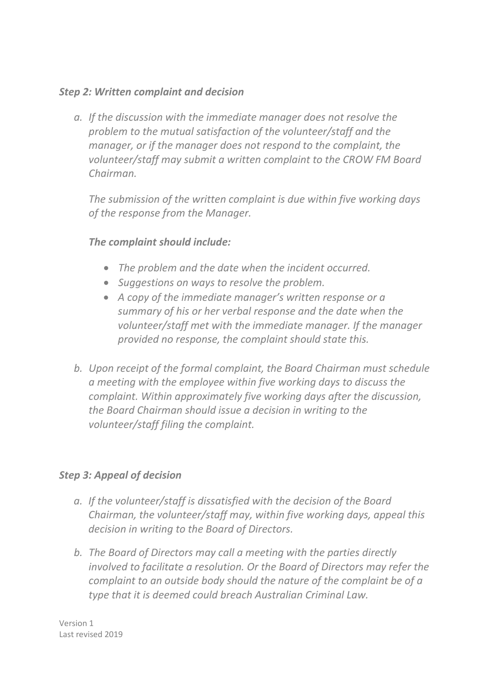#### *Step 2: Written complaint and decision*

*a. If the discussion with the immediate manager does not resolve the problem to the mutual satisfaction of the volunteer/staff and the manager, or if the manager does not respond to the complaint, the volunteer/staff may submit a written complaint to the CROW FM Board Chairman.* 

*The submission of the written complaint is due within five working days of the response from the Manager.* 

## *The complaint should include:*

- *The problem and the date when the incident occurred.*
- *Suggestions on ways to resolve the problem.*
- *A copy of the immediate manager's written response or a summary of his or her verbal response and the date when the volunteer/staff met with the immediate manager. If the manager provided no response, the complaint should state this.*
- *b. Upon receipt of the formal complaint, the Board Chairman must schedule a meeting with the employee within five working days to discuss the complaint. Within approximately five working days after the discussion, the Board Chairman should issue a decision in writing to the volunteer/staff filing the complaint.*

#### *Step 3: Appeal of decision*

- *a. If the volunteer/staff is dissatisfied with the decision of the Board Chairman, the volunteer/staff may, within five working days, appeal this decision in writing to the Board of Directors.*
- *b. The Board of Directors may call a meeting with the parties directly involved to facilitate a resolution. Or the Board of Directors may refer the complaint to an outside body should the nature of the complaint be of a type that it is deemed could breach Australian Criminal Law.*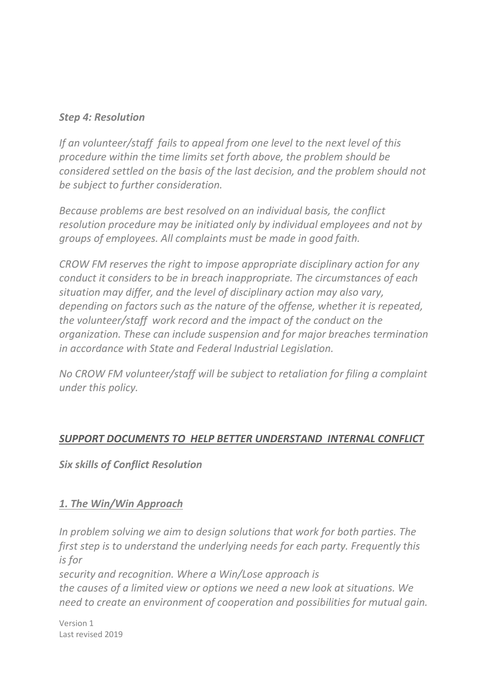#### *Step 4: Resolution*

*If an volunteer/staff fails to appeal from one level to the next level of this procedure within the time limits set forth above, the problem should be considered settled on the basis of the last decision, and the problem should not be subject to further consideration.*

*Because problems are best resolved on an individual basis, the conflict resolution procedure may be initiated only by individual employees and not by groups of employees. All complaints must be made in good faith.*

*CROW FM reserves the right to impose appropriate disciplinary action for any conduct it considers to be in breach inappropriate. The circumstances of each situation may differ, and the level of disciplinary action may also vary, depending on factors such as the nature of the offense, whether it is repeated, the volunteer/staff work record and the impact of the conduct on the organization. These can include suspension and for major breaches termination in accordance with State and Federal Industrial Legislation.*

*No CROW FM volunteer/staff will be subject to retaliation for filing a complaint under this policy.* 

## *SUPPORT DOCUMENTS TO HELP BETTER UNDERSTAND INTERNAL CONFLICT*

*Six skills of Conflict Resolution*

#### *1. The Win/Win Approach*

*In problem solving we aim to design solutions that work for both parties. The first step is to understand the underlying needs for each party. Frequently this is for* 

*security and recognition. Where a Win/Lose approach is the causes of a limited view or options we need a new look at situations. We need to create an environment of cooperation and possibilities for mutual gain.*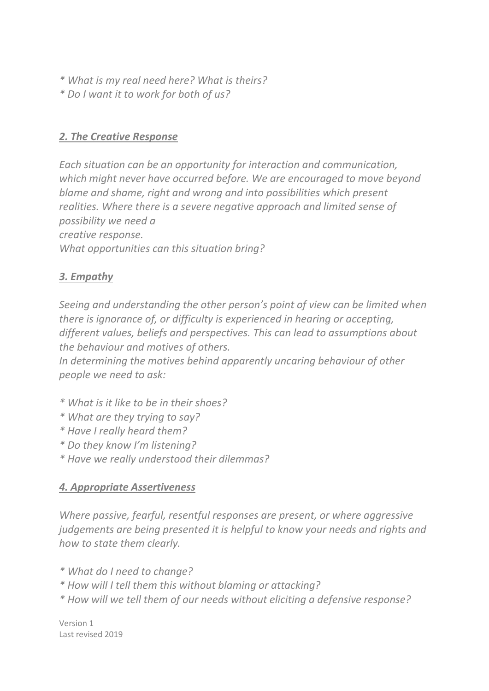- *\* What is my real need here? What is theirs?*
- *\* Do I want it to work for both of us?*

## *2. The Creative Response*

*Each situation can be an opportunity for interaction and communication, which might never have occurred before. We are encouraged to move beyond blame and shame, right and wrong and into possibilities which present realities. Where there is a severe negative approach and limited sense of possibility we need a creative response. What opportunities can this situation bring?*

# *3. Empathy*

*Seeing and understanding the other person's point of view can be limited when there is ignorance of, or difficulty is experienced in hearing or accepting, different values, beliefs and perspectives. This can lead to assumptions about the behaviour and motives of others.* 

*In determining the motives behind apparently uncaring behaviour of other people we need to ask:*

- *\* What is it like to be in their shoes?*
- *\* What are they trying to say?*
- *\* Have I really heard them?*
- *\* Do they know I'm listening?*
- *\* Have we really understood their dilemmas?*

## *4. Appropriate Assertiveness*

*Where passive, fearful, resentful responses are present, or where aggressive judgements are being presented it is helpful to know your needs and rights and how to state them clearly.*

*\* What do I need to change?*

- *\* How will I tell them this without blaming or attacking?*
- *\* How will we tell them of our needs without eliciting a defensive response?*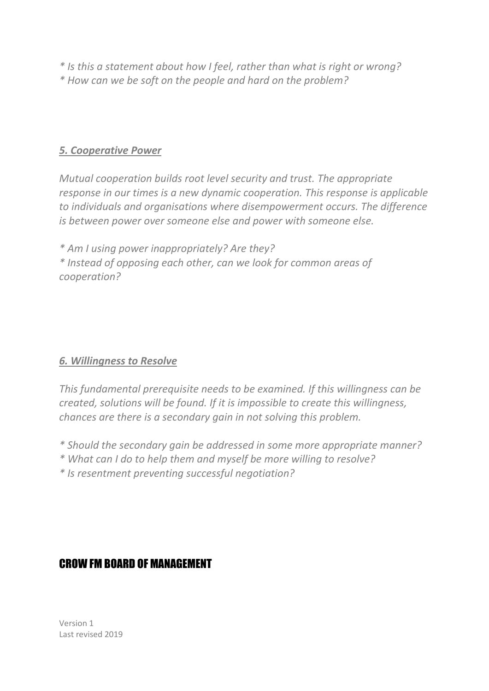*\* Is this a statement about how I feel, rather than what is right or wrong? \* How can we be soft on the people and hard on the problem?*

#### *5. Cooperative Power*

*Mutual cooperation builds root level security and trust. The appropriate response in our times is a new dynamic cooperation. This response is applicable to individuals and organisations where disempowerment occurs. The difference is between power over someone else and power with someone else.* 

*\* Am I using power inappropriately? Are they? \* Instead of opposing each other, can we look for common areas of cooperation?*

#### *6. Willingness to Resolve*

*This fundamental prerequisite needs to be examined. If this willingness can be created, solutions will be found. If it is impossible to create this willingness, chances are there is a secondary gain in not solving this problem.*

- *\* Should the secondary gain be addressed in some more appropriate manner?*
- *\* What can I do to help them and myself be more willing to resolve?*
- *\* Is resentment preventing successful negotiation?*

## CROW FM BOARD OF MANAGEMENT